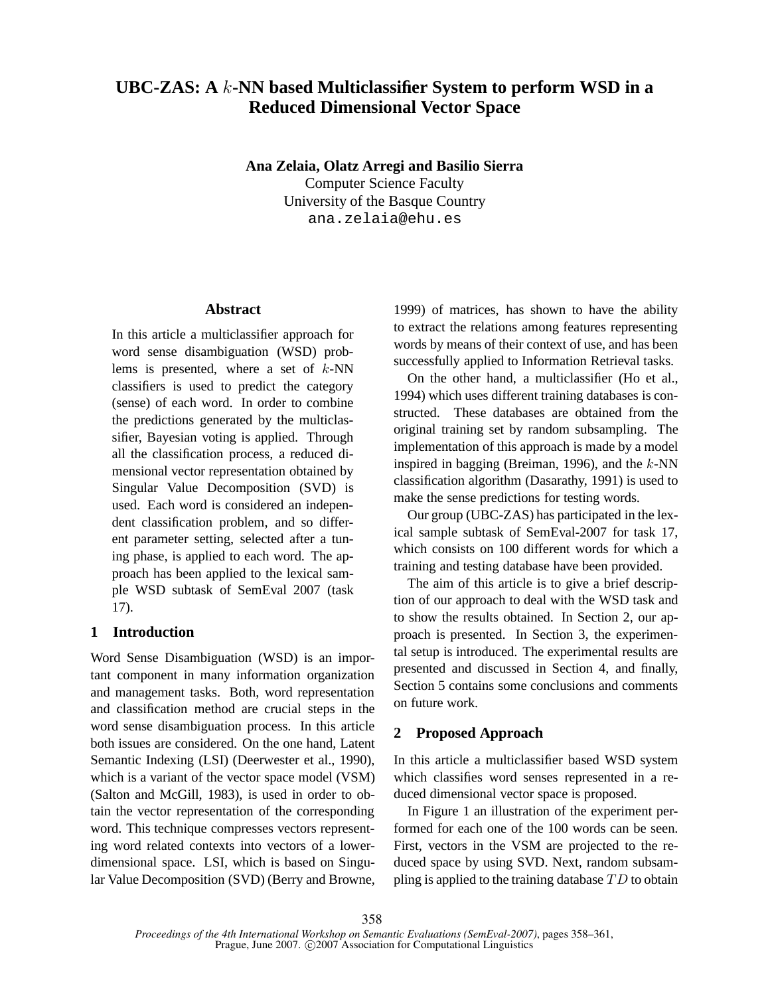# **UBC-ZAS: A** k**-NN based Multiclassifier System to perform WSD in a Reduced Dimensional Vector Space**

**Ana Zelaia, Olatz Arregi and Basilio Sierra**

Computer Science Faculty University of the Basque Country ana.zelaia@ehu.es

## **Abstract**

In this article a multiclassifier approach for word sense disambiguation (WSD) problems is presented, where a set of  $k$ -NN classifiers is used to predict the category (sense) of each word. In order to combine the predictions generated by the multiclassifier, Bayesian voting is applied. Through all the classification process, a reduced dimensional vector representation obtained by Singular Value Decomposition (SVD) is used. Each word is considered an independent classification problem, and so different parameter setting, selected after a tuning phase, is applied to each word. The approach has been applied to the lexical sample WSD subtask of SemEval 2007 (task 17).

# **1 Introduction**

Word Sense Disambiguation (WSD) is an important component in many information organization and management tasks. Both, word representation and classification method are crucial steps in the word sense disambiguation process. In this article both issues are considered. On the one hand, Latent Semantic Indexing (LSI) (Deerwester et al., 1990), which is a variant of the vector space model (VSM) (Salton and McGill, 1983), is used in order to obtain the vector representation of the corresponding word. This technique compresses vectors representing word related contexts into vectors of a lowerdimensional space. LSI, which is based on Singular Value Decomposition (SVD) (Berry and Browne, 1999) of matrices, has shown to have the ability to extract the relations among features representing words by means of their context of use, and has been successfully applied to Information Retrieval tasks.

On the other hand, a multiclassifier (Ho et al., 1994) which uses different training databases is constructed. These databases are obtained from the original training set by random subsampling. The implementation of this approach is made by a model inspired in bagging (Breiman, 1996), and the  $k$ -NN classification algorithm (Dasarathy, 1991) is used to make the sense predictions for testing words.

Our group (UBC-ZAS) has participated in the lexical sample subtask of SemEval-2007 for task 17, which consists on 100 different words for which a training and testing database have been provided.

The aim of this article is to give a brief description of our approach to deal with the WSD task and to show the results obtained. In Section 2, our approach is presented. In Section 3, the experimental setup is introduced. The experimental results are presented and discussed in Section 4, and finally, Section 5 contains some conclusions and comments on future work.

# **2 Proposed Approach**

In this article a multiclassifier based WSD system which classifies word senses represented in a reduced dimensional vector space is proposed.

In Figure 1 an illustration of the experiment performed for each one of the 100 words can be seen. First, vectors in the VSM are projected to the reduced space by using SVD. Next, random subsampling is applied to the training database  $TD$  to obtain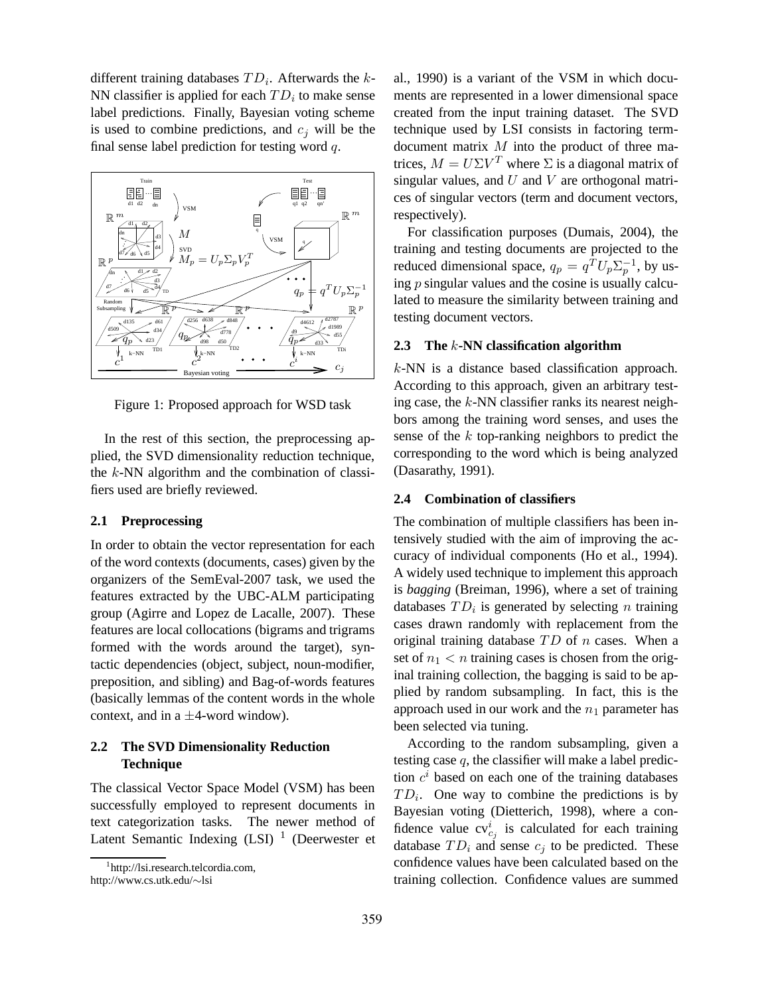different training databases  $TD_i$ . Afterwards the k-NN classifier is applied for each  $TD_i$  to make sense label predictions. Finally, Bayesian voting scheme is used to combine predictions, and  $c_i$  will be the final sense label prediction for testing word  $q$ .



Figure 1: Proposed approach for WSD task

In the rest of this section, the preprocessing applied, the SVD dimensionality reduction technique, the  $k$ -NN algorithm and the combination of classifiers used are briefly reviewed.

#### **2.1 Preprocessing**

In order to obtain the vector representation for each of the word contexts (documents, cases) given by the organizers of the SemEval-2007 task, we used the features extracted by the UBC-ALM participating group (Agirre and Lopez de Lacalle, 2007). These features are local collocations (bigrams and trigrams formed with the words around the target), syntactic dependencies (object, subject, noun-modifier, preposition, and sibling) and Bag-of-words features (basically lemmas of the content words in the whole context, and in a  $\pm$ 4-word window).

# **2.2 The SVD Dimensionality Reduction Technique**

The classical Vector Space Model (VSM) has been successfully employed to represent documents in text categorization tasks. The newer method of Latent Semantic Indexing  $(LSI)^{-1}$  (Deerwester et

al., 1990) is a variant of the VSM in which documents are represented in a lower dimensional space created from the input training dataset. The SVD technique used by LSI consists in factoring termdocument matrix M into the product of three matrices,  $M = U\Sigma V^T$  where  $\Sigma$  is a diagonal matrix of singular values, and  $U$  and  $V$  are orthogonal matrices of singular vectors (term and document vectors, respectively).

For classification purposes (Dumais, 2004), the training and testing documents are projected to the reduced dimensional space,  $q_p = q^T U_p \Sigma_p^{-1}$ , by using  $p$  singular values and the cosine is usually calculated to measure the similarity between training and testing document vectors.

## **2.3 The** k**-NN classification algorithm**

k-NN is a distance based classification approach. According to this approach, given an arbitrary testing case, the  $k$ -NN classifier ranks its nearest neighbors among the training word senses, and uses the sense of the k top-ranking neighbors to predict the corresponding to the word which is being analyzed (Dasarathy, 1991).

#### **2.4 Combination of classifiers**

The combination of multiple classifiers has been intensively studied with the aim of improving the accuracy of individual components (Ho et al., 1994). A widely used technique to implement this approach is *bagging* (Breiman, 1996), where a set of training databases  $TD_i$  is generated by selecting n training cases drawn randomly with replacement from the original training database  $TD$  of  $n$  cases. When a set of  $n_1 < n$  training cases is chosen from the original training collection, the bagging is said to be applied by random subsampling. In fact, this is the approach used in our work and the  $n_1$  parameter has been selected via tuning.

According to the random subsampling, given a testing case  $q$ , the classifier will make a label prediction  $c^i$  based on each one of the training databases  $TD_i$ . One way to combine the predictions is by Bayesian voting (Dietterich, 1998), where a confidence value  $cv_{c_j}^i$  is calculated for each training database  $TD_i$  and sense  $c_j$  to be predicted. These confidence values have been calculated based on the training collection. Confidence values are summed

<sup>1</sup> http://lsi.research.telcordia.com, http://www.cs.utk.edu/∼lsi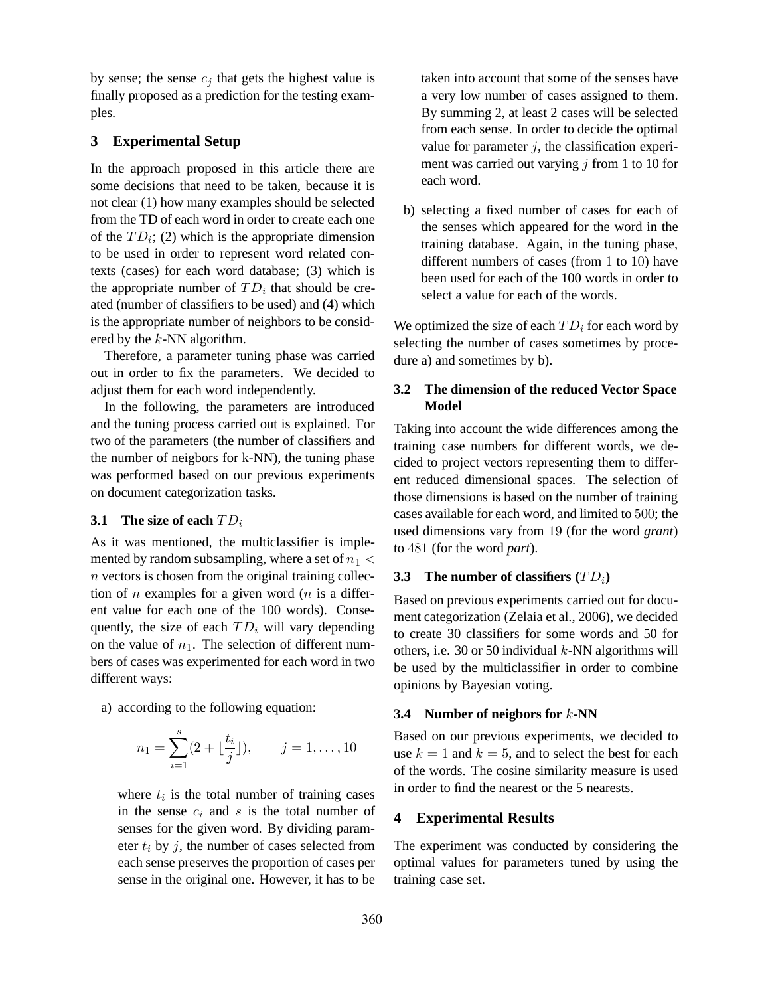by sense; the sense  $c_i$  that gets the highest value is finally proposed as a prediction for the testing examples.

## **3 Experimental Setup**

In the approach proposed in this article there are some decisions that need to be taken, because it is not clear (1) how many examples should be selected from the TD of each word in order to create each one of the  $TD_i$ ; (2) which is the appropriate dimension to be used in order to represent word related contexts (cases) for each word database; (3) which is the appropriate number of  $TD_i$  that should be created (number of classifiers to be used) and (4) which is the appropriate number of neighbors to be considered by the k-NN algorithm.

Therefore, a parameter tuning phase was carried out in order to fix the parameters. We decided to adjust them for each word independently.

In the following, the parameters are introduced and the tuning process carried out is explained. For two of the parameters (the number of classifiers and the number of neigbors for k-NN), the tuning phase was performed based on our previous experiments on document categorization tasks.

## **3.1 The size of each**  $TD_i$

As it was mentioned, the multiclassifier is implemented by random subsampling, where a set of  $n_1$  < n vectors is chosen from the original training collection of *n* examples for a given word  $(n$  is a different value for each one of the 100 words). Consequently, the size of each  $TD_i$  will vary depending on the value of  $n_1$ . The selection of different numbers of cases was experimented for each word in two different ways:

a) according to the following equation:

$$
n_1 = \sum_{i=1}^{s} (2 + \lfloor \frac{t_i}{j} \rfloor), \qquad j = 1, \dots, 10
$$

where  $t_i$  is the total number of training cases in the sense  $c_i$  and s is the total number of senses for the given word. By dividing parameter  $t_i$  by j, the number of cases selected from each sense preserves the proportion of cases per sense in the original one. However, it has to be

taken into account that some of the senses have a very low number of cases assigned to them. By summing 2, at least 2 cases will be selected from each sense. In order to decide the optimal value for parameter  $j$ , the classification experiment was carried out varying  $j$  from 1 to 10 for each word.

b) selecting a fixed number of cases for each of the senses which appeared for the word in the training database. Again, in the tuning phase, different numbers of cases (from 1 to 10) have been used for each of the 100 words in order to select a value for each of the words.

We optimized the size of each  $TD_i$  for each word by selecting the number of cases sometimes by procedure a) and sometimes by b).

# **3.2 The dimension of the reduced Vector Space Model**

Taking into account the wide differences among the training case numbers for different words, we decided to project vectors representing them to different reduced dimensional spaces. The selection of those dimensions is based on the number of training cases available for each word, and limited to 500; the used dimensions vary from 19 (for the word *grant*) to 481 (for the word *part*).

## **3.3 The number of classifiers**  $(TD_i)$

Based on previous experiments carried out for document categorization (Zelaia et al., 2006), we decided to create 30 classifiers for some words and 50 for others, i.e. 30 or 50 individual  $k$ -NN algorithms will be used by the multiclassifier in order to combine opinions by Bayesian voting.

#### **3.4 Number of neigbors for** k**-NN**

Based on our previous experiments, we decided to use  $k = 1$  and  $k = 5$ , and to select the best for each of the words. The cosine similarity measure is used in order to find the nearest or the 5 nearests.

# **4 Experimental Results**

The experiment was conducted by considering the optimal values for parameters tuned by using the training case set.